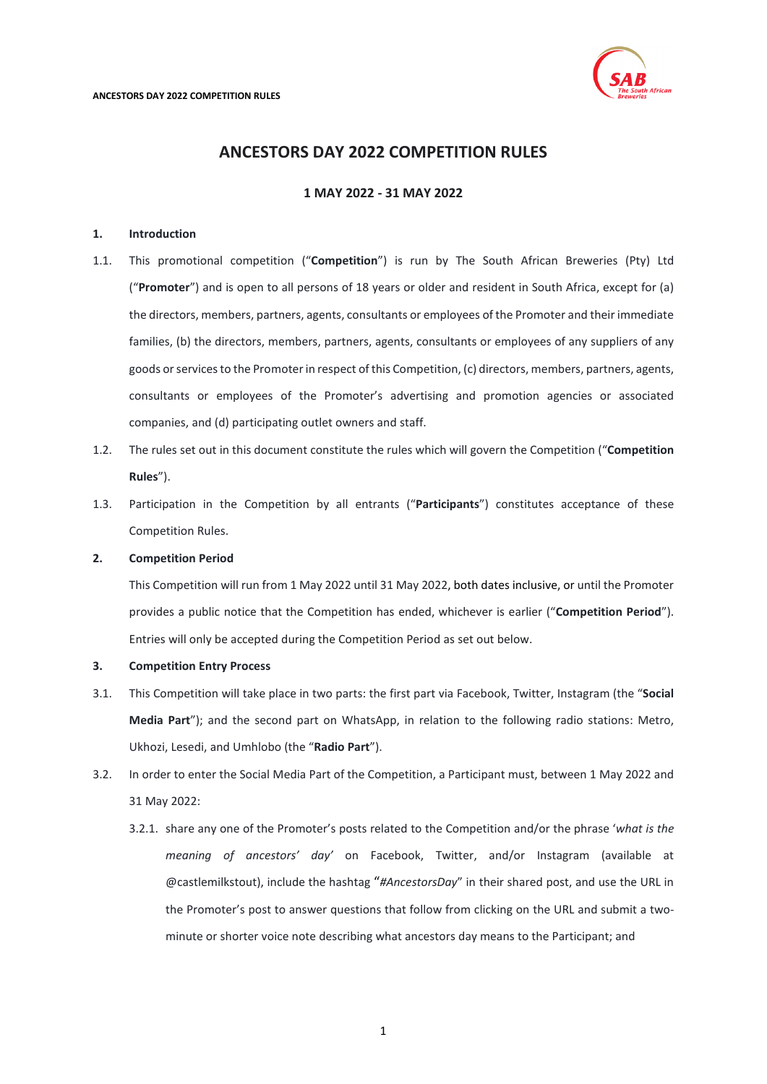

# **ANCESTORS DAY 2022 COMPETITION RULES**

**1 MAY 2022 - 31 MAY 2022**

# **1. Introduction**

- <span id="page-0-0"></span>1.1. This promotional competition ("**Competition**") is run by The South African Breweries (Pty) Ltd ("**Promoter**") and is open to all persons of 18 years or older and resident in South Africa, except for (a) the directors, members, partners, agents, consultants or employees of the Promoter and their immediate families, (b) the directors, members, partners, agents, consultants or employees of any suppliers of any goods or services to the Promoter in respect of this Competition, (c) directors, members, partners, agents, consultants or employees of the Promoter's advertising and promotion agencies or associated companies, and (d) participating outlet owners and staff.
- 1.2. The rules set out in this document constitute the rules which will govern the Competition ("**Competition Rules**").
- 1.3. Participation in the Competition by all entrants ("**Participants**") constitutes acceptance of these Competition Rules.

# **2. Competition Period**

This Competition will run from 1 May 2022 until 31 May 2022, both dates inclusive, or until the Promoter provides a public notice that the Competition has ended, whichever is earlier ("**Competition Period**"). Entries will only be accepted during the Competition Period as set out below.

### **3. Competition Entry Process**

- 3.1. This Competition will take place in two parts: the first part via Facebook, Twitter, Instagram (the "**Social Media Part**"); and the second part on WhatsApp, in relation to the following radio stations: Metro, Ukhozi, Lesedi, and Umhlobo (the "**Radio Part**").
- 3.2. In order to enter the Social Media Part of the Competition, a Participant must, between 1 May 2022 and 31 May 2022:
	- 3.2.1. share any one of the Promoter's posts related to the Competition and/or the phrase '*what is the meaning of ancestors' day'* on Facebook, Twitter, and/or Instagram (available at @castlemilkstout), include the hashtag "*#AncestorsDay*" in their shared post, and use the URL in the Promoter's post to answer questions that follow from clicking on the URL and submit a twominute or shorter voice note describing what ancestors day means to the Participant; and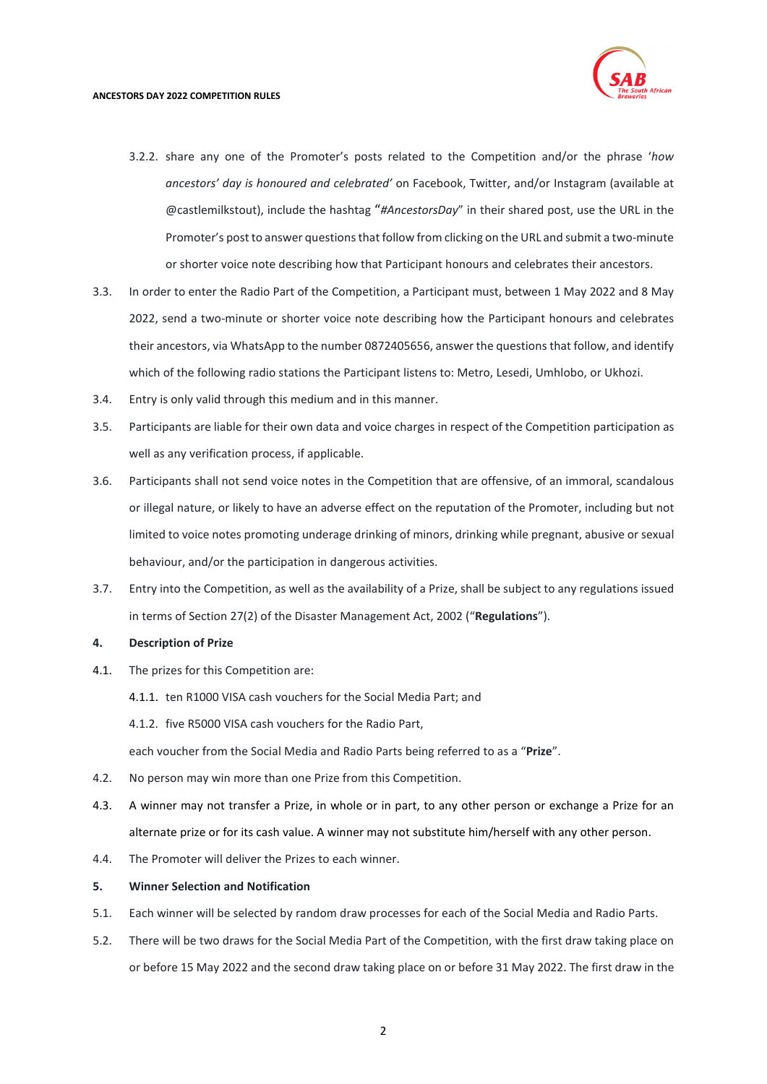

- 3.2.2. share any one of the Promoter's posts related to the Competition and/or the phrase '*how ancestors' day is honoured and celebrated'* on Facebook, Twitter, and/or Instagram (available at @castlemilkstout), include the hashtag "*#AncestorsDay*" in their shared post, use the URL in the Promoter's post to answer questions that follow from clicking on the URL and submit a two-minute or shorter voice note describing how that Participant honours and celebrates their ancestors.
- 3.3. In order to enter the Radio Part of the Competition, a Participant must, between 1 May 2022 and 8 May 2022, send a two-minute or shorter voice note describing how the Participant honours and celebrates their ancestors, via WhatsApp to the number 0872405656, answer the questions that follow, and identify which of the following radio stations the Participant listens to: Metro, Lesedi, Umhlobo, or Ukhozi.
- 3.4. Entry is only valid through this medium and in this manner.
- 3.5. Participants are liable for their own data and voice charges in respect of the Competition participation as well as any verification process, if applicable.
- 3.6. Participants shall not send voice notes in the Competition that are offensive, of an immoral, scandalous or illegal nature, or likely to have an adverse effect on the reputation of the Promoter, including but not limited to voice notes promoting underage drinking of minors, drinking while pregnant, abusive or sexual behaviour, and/or the participation in dangerous activities.
- 3.7. Entry into the Competition, as well as the availability of a Prize, shall be subject to any regulations issued in terms of Section 27(2) of the Disaster Management Act, 2002 ("**Regulations**").

## **4. Description of Prize**

- 4.1. The prizes for this Competition are:
	- 4.1.1. ten R1000 VISA cash vouchers for the Social Media Part; and
	- 4.1.2. five R5000 VISA cash vouchers for the Radio Part,

each voucher from the Social Media and Radio Parts being referred to as a "**Prize**".

- 4.2. No person may win more than one Prize from this Competition.
- 4.3. A winner may not transfer a Prize, in whole or in part, to any other person or exchange a Prize for an alternate prize or for its cash value. A winner may not substitute him/herself with any other person.
- 4.4. The Promoter will deliver the Prizes to each winner.

#### **5. Winner Selection and Notification**

- 5.1. Each winner will be selected by random draw processes for each of the Social Media and Radio Parts.
- 5.2. There will be two draws for the Social Media Part of the Competition, with the first draw taking place on or before 15 May 2022 and the second draw taking place on or before 31 May 2022. The first draw in the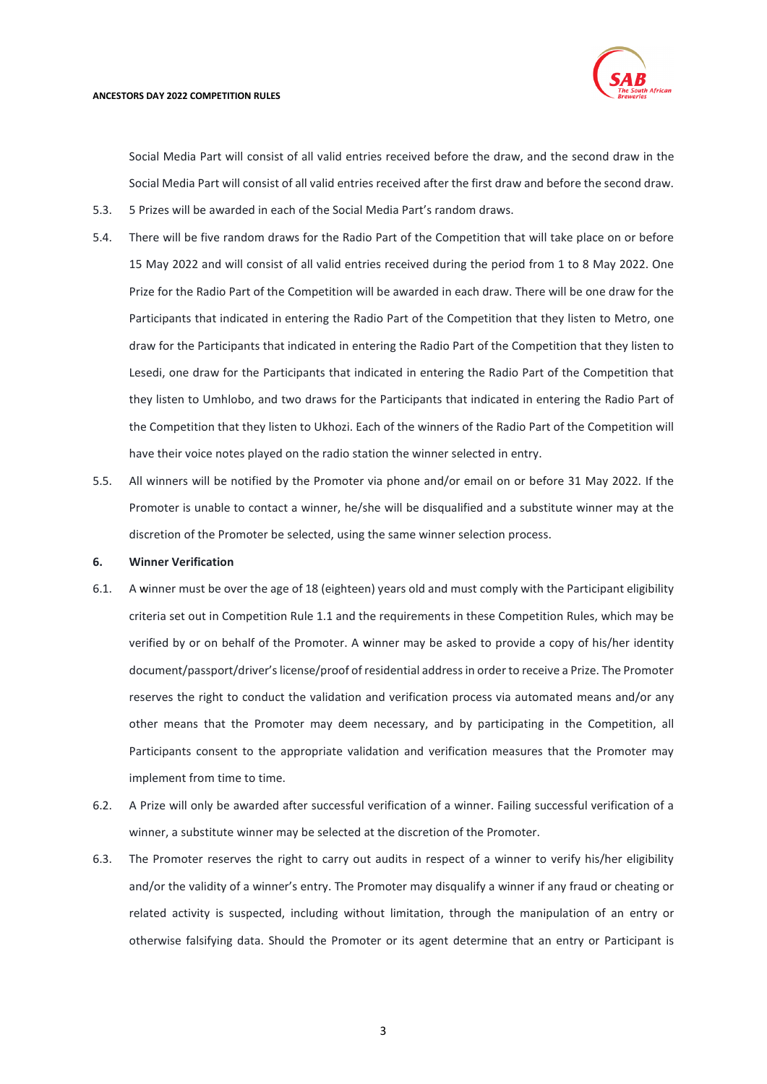

Social Media Part will consist of all valid entries received before the draw, and the second draw in the Social Media Part will consist of all valid entries received after the first draw and before the second draw.

- 5.3. 5 Prizes will be awarded in each of the Social Media Part's random draws.
- 5.4. There will be five random draws for the Radio Part of the Competition that will take place on or before 15 May 2022 and will consist of all valid entries received during the period from 1 to 8 May 2022. One Prize for the Radio Part of the Competition will be awarded in each draw. There will be one draw for the Participants that indicated in entering the Radio Part of the Competition that they listen to Metro, one draw for the Participants that indicated in entering the Radio Part of the Competition that they listen to Lesedi, one draw for the Participants that indicated in entering the Radio Part of the Competition that they listen to Umhlobo, and two draws for the Participants that indicated in entering the Radio Part of the Competition that they listen to Ukhozi. Each of the winners of the Radio Part of the Competition will have their voice notes played on the radio station the winner selected in entry.
- 5.5. All winners will be notified by the Promoter via phone and/or email on or before 31 May 2022. If the Promoter is unable to contact a winner, he/she will be disqualified and a substitute winner may at the discretion of the Promoter be selected, using the same winner selection process.

## **6. Winner Verification**

- 6.1. A winner must be over the age of 18 (eighteen) years old and must comply with the Participant eligibility criteria set out in Competition Rule [1.1](#page-0-0) and the requirements in these Competition Rules, which may be verified by or on behalf of the Promoter. A winner may be asked to provide a copy of his/her identity document/passport/driver's license/proof of residential address in order to receive a Prize. The Promoter reserves the right to conduct the validation and verification process via automated means and/or any other means that the Promoter may deem necessary, and by participating in the Competition, all Participants consent to the appropriate validation and verification measures that the Promoter may implement from time to time.
- 6.2. A Prize will only be awarded after successful verification of a winner. Failing successful verification of a winner, a substitute winner may be selected at the discretion of the Promoter.
- 6.3. The Promoter reserves the right to carry out audits in respect of a winner to verify his/her eligibility and/or the validity of a winner's entry. The Promoter may disqualify a winner if any fraud or cheating or related activity is suspected, including without limitation, through the manipulation of an entry or otherwise falsifying data. Should the Promoter or its agent determine that an entry or Participant is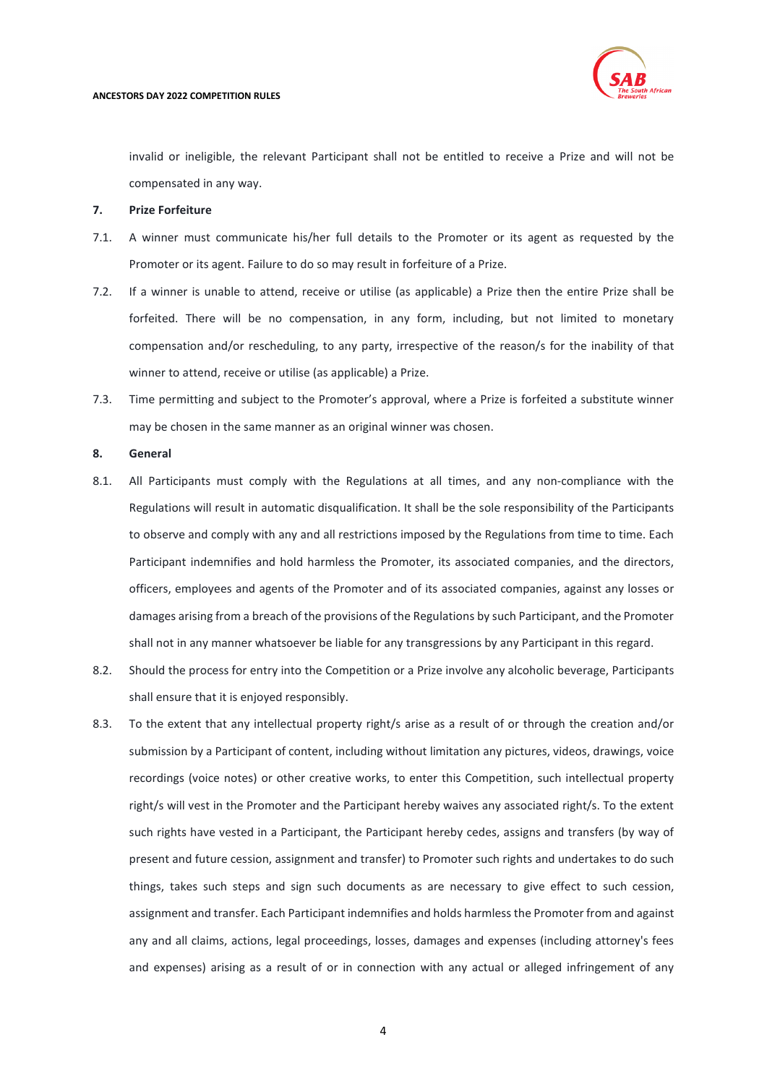

invalid or ineligible, the relevant Participant shall not be entitled to receive a Prize and will not be compensated in any way.

### **7. Prize Forfeiture**

- 7.1. A winner must communicate his/her full details to the Promoter or its agent as requested by the Promoter or its agent. Failure to do so may result in forfeiture of a Prize.
- 7.2. If a winner is unable to attend, receive or utilise (as applicable) a Prize then the entire Prize shall be forfeited. There will be no compensation, in any form, including, but not limited to monetary compensation and/or rescheduling, to any party, irrespective of the reason/s for the inability of that winner to attend, receive or utilise (as applicable) a Prize.
- 7.3. Time permitting and subject to the Promoter's approval, where a Prize is forfeited a substitute winner may be chosen in the same manner as an original winner was chosen.

### **8. General**

- 8.1. All Participants must comply with the Regulations at all times, and any non-compliance with the Regulations will result in automatic disqualification. It shall be the sole responsibility of the Participants to observe and comply with any and all restrictions imposed by the Regulations from time to time. Each Participant indemnifies and hold harmless the Promoter, its associated companies, and the directors, officers, employees and agents of the Promoter and of its associated companies, against any losses or damages arising from a breach of the provisions of the Regulations by such Participant, and the Promoter shall not in any manner whatsoever be liable for any transgressions by any Participant in this regard.
- 8.2. Should the process for entry into the Competition or a Prize involve any alcoholic beverage, Participants shall ensure that it is enjoyed responsibly.
- 8.3. To the extent that any intellectual property right/s arise as a result of or through the creation and/or submission by a Participant of content, including without limitation any pictures, videos, drawings, voice recordings (voice notes) or other creative works, to enter this Competition, such intellectual property right/s will vest in the Promoter and the Participant hereby waives any associated right/s. To the extent such rights have vested in a Participant, the Participant hereby cedes, assigns and transfers (by way of present and future cession, assignment and transfer) to Promoter such rights and undertakes to do such things, takes such steps and sign such documents as are necessary to give effect to such cession, assignment and transfer. Each Participant indemnifies and holds harmless the Promoter from and against any and all claims, actions, legal proceedings, losses, damages and expenses (including attorney's fees and expenses) arising as a result of or in connection with any actual or alleged infringement of any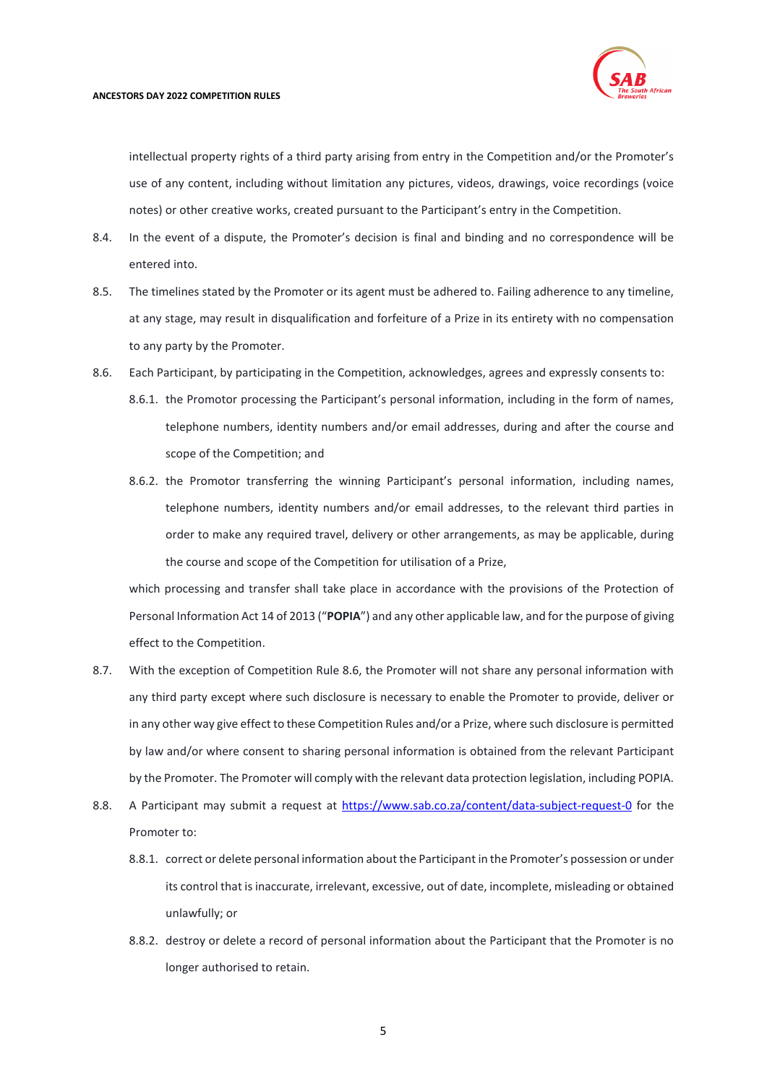

intellectual property rights of a third party arising from entry in the Competition and/or the Promoter's use of any content, including without limitation any pictures, videos, drawings, voice recordings (voice notes) or other creative works, created pursuant to the Participant's entry in the Competition.

- 8.4. In the event of a dispute, the Promoter's decision is final and binding and no correspondence will be entered into.
- 8.5. The timelines stated by the Promoter or its agent must be adhered to. Failing adherence to any timeline, at any stage, may result in disqualification and forfeiture of a Prize in its entirety with no compensation to any party by the Promoter.
- <span id="page-4-0"></span>8.6. Each Participant, by participating in the Competition, acknowledges, agrees and expressly consents to:
	- 8.6.1. the Promotor processing the Participant's personal information, including in the form of names, telephone numbers, identity numbers and/or email addresses, during and after the course and scope of the Competition; and
	- 8.6.2. the Promotor transferring the winning Participant's personal information, including names, telephone numbers, identity numbers and/or email addresses, to the relevant third parties in order to make any required travel, delivery or other arrangements, as may be applicable, during the course and scope of the Competition for utilisation of a Prize,

which processing and transfer shall take place in accordance with the provisions of the Protection of Personal Information Act 14 of 2013 ("**POPIA**") and any other applicable law, and for the purpose of giving effect to the Competition.

- 8.7. With the exception of Competition Rule [8.6,](#page-4-0) the Promoter will not share any personal information with any third party except where such disclosure is necessary to enable the Promoter to provide, deliver or in any other way give effect to these Competition Rules and/or a Prize, where such disclosure is permitted by law and/or where consent to sharing personal information is obtained from the relevant Participant by the Promoter. The Promoter will comply with the relevant data protection legislation, including POPIA.
- 8.8. A Participant may submit a request at<https://www.sab.co.za/content/data-subject-request-0> for the Promoter to:
	- 8.8.1. correct or delete personal information about the Participant in the Promoter's possession or under its control that is inaccurate, irrelevant, excessive, out of date, incomplete, misleading or obtained unlawfully; or
	- 8.8.2. destroy or delete a record of personal information about the Participant that the Promoter is no longer authorised to retain.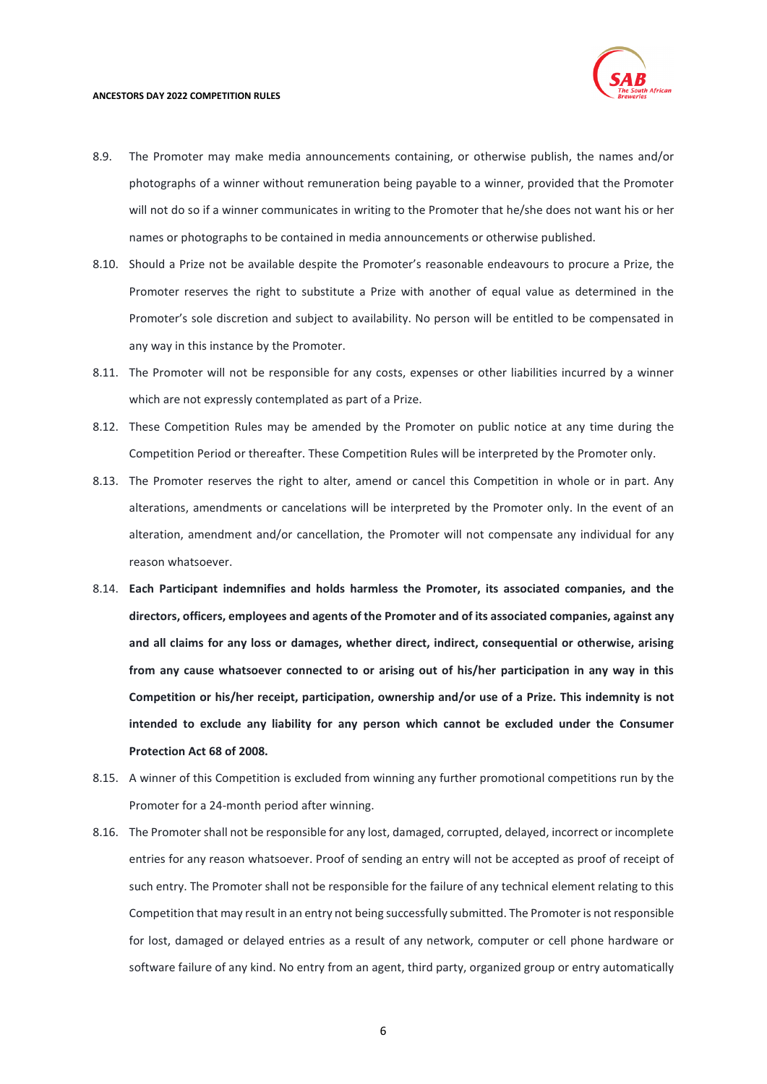

#### **ANCESTORS DAY 2022 COMPETITION RULES**

- 8.9. The Promoter may make media announcements containing, or otherwise publish, the names and/or photographs of a winner without remuneration being payable to a winner, provided that the Promoter will not do so if a winner communicates in writing to the Promoter that he/she does not want his or her names or photographs to be contained in media announcements or otherwise published.
- 8.10. Should a Prize not be available despite the Promoter's reasonable endeavours to procure a Prize, the Promoter reserves the right to substitute a Prize with another of equal value as determined in the Promoter's sole discretion and subject to availability. No person will be entitled to be compensated in any way in this instance by the Promoter.
- 8.11. The Promoter will not be responsible for any costs, expenses or other liabilities incurred by a winner which are not expressly contemplated as part of a Prize.
- 8.12. These Competition Rules may be amended by the Promoter on public notice at any time during the Competition Period or thereafter. These Competition Rules will be interpreted by the Promoter only.
- 8.13. The Promoter reserves the right to alter, amend or cancel this Competition in whole or in part. Any alterations, amendments or cancelations will be interpreted by the Promoter only. In the event of an alteration, amendment and/or cancellation, the Promoter will not compensate any individual for any reason whatsoever.
- 8.14. **Each Participant indemnifies and holds harmless the Promoter, its associated companies, and the directors, officers, employees and agents of the Promoter and of its associated companies, against any and all claims for any loss or damages, whether direct, indirect, consequential or otherwise, arising from any cause whatsoever connected to or arising out of his/her participation in any way in this Competition or his/her receipt, participation, ownership and/or use of a Prize. This indemnity is not intended to exclude any liability for any person which cannot be excluded under the Consumer Protection Act 68 of 2008.**
- 8.15. A winner of this Competition is excluded from winning any further promotional competitions run by the Promoter for a 24-month period after winning.
- 8.16. The Promoter shall not be responsible for any lost, damaged, corrupted, delayed, incorrect or incomplete entries for any reason whatsoever. Proof of sending an entry will not be accepted as proof of receipt of such entry. The Promoter shall not be responsible for the failure of any technical element relating to this Competition that may result in an entry not being successfully submitted. The Promoter is not responsible for lost, damaged or delayed entries as a result of any network, computer or cell phone hardware or software failure of any kind. No entry from an agent, third party, organized group or entry automatically